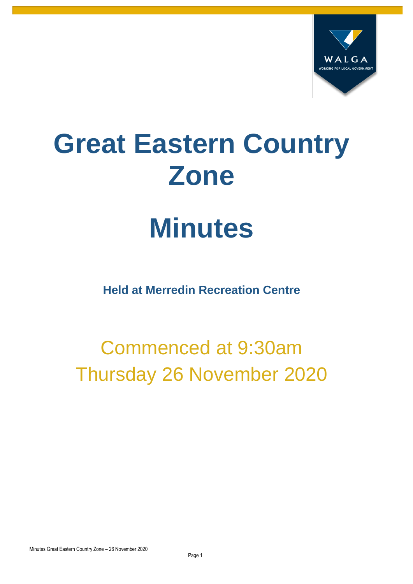

# **Great Eastern Country Zone**

# **Minutes**

**Held at Merredin Recreation Centre**

## Commenced at 9:30am Thursday 26 November 2020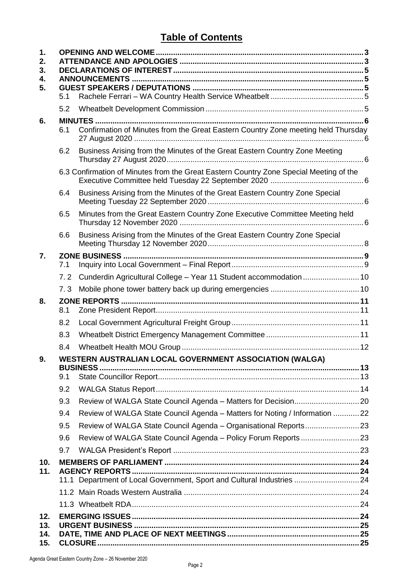#### **Table of Contents**

| 1.<br>2.<br>3.<br>4. |     |                                                                                        |  |
|----------------------|-----|----------------------------------------------------------------------------------------|--|
| 5.                   |     |                                                                                        |  |
|                      | 5.1 |                                                                                        |  |
|                      | 5.2 |                                                                                        |  |
| 6.                   | 6.1 | Confirmation of Minutes from the Great Eastern Country Zone meeting held Thursday      |  |
|                      | 6.2 | Business Arising from the Minutes of the Great Eastern Country Zone Meeting            |  |
|                      |     | 6.3 Confirmation of Minutes from the Great Eastern Country Zone Special Meeting of the |  |
|                      | 6.4 | Business Arising from the Minutes of the Great Eastern Country Zone Special            |  |
|                      | 6.5 | Minutes from the Great Eastern Country Zone Executive Committee Meeting held           |  |
|                      | 6.6 | Business Arising from the Minutes of the Great Eastern Country Zone Special            |  |
| 7.                   |     |                                                                                        |  |
|                      | 7.1 |                                                                                        |  |
|                      | 7.2 | Cunderdin Agricultural College - Year 11 Student accommodation  10                     |  |
|                      | 7.3 |                                                                                        |  |
| 8.                   | 8.1 |                                                                                        |  |
|                      | 8.2 |                                                                                        |  |
|                      | 8.3 |                                                                                        |  |
|                      | 8.4 |                                                                                        |  |
| У.                   |     | WESTERN AUSTRALIAN LOCAL GOVERNMENT ASSOCIATION (WALGA)                                |  |
|                      | 9.1 |                                                                                        |  |
|                      | 9.2 |                                                                                        |  |
|                      | 9.3 | Review of WALGA State Council Agenda - Matters for Decision 20                         |  |
|                      | 9.4 | Review of WALGA State Council Agenda - Matters for Noting / Information  22            |  |
|                      | 9.5 |                                                                                        |  |
|                      | 9.6 |                                                                                        |  |
|                      | 9.7 |                                                                                        |  |
| 10.                  |     |                                                                                        |  |
| 11.                  |     | 11.1 Department of Local Government, Sport and Cultural Industries  24                 |  |
|                      |     |                                                                                        |  |
|                      |     |                                                                                        |  |
| 12.                  |     |                                                                                        |  |
| 13.                  |     |                                                                                        |  |
| 14.<br>15.           |     |                                                                                        |  |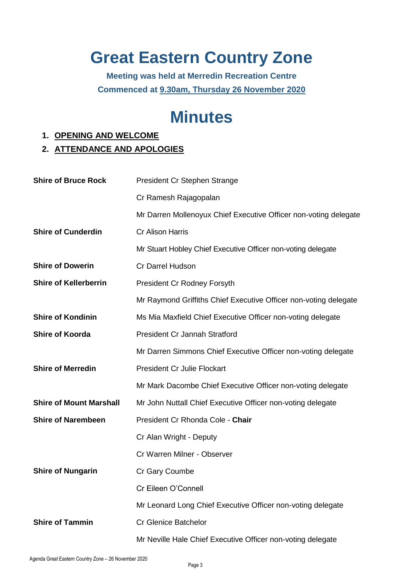## **Great Eastern Country Zone**

**Meeting was held at Merredin Recreation Centre Commenced at 9.30am, Thursday 26 November 2020**

## <span id="page-2-1"></span><span id="page-2-0"></span>**Minutes**

#### **1. OPENING AND WELCOME**

#### **2. ATTENDANCE AND APOLOGIES**

| <b>Shire of Bruce Rock</b>     | President Cr Stephen Strange                                     |
|--------------------------------|------------------------------------------------------------------|
|                                | Cr Ramesh Rajagopalan                                            |
|                                | Mr Darren Mollenoyux Chief Executive Officer non-voting delegate |
| <b>Shire of Cunderdin</b>      | <b>Cr Alison Harris</b>                                          |
|                                | Mr Stuart Hobley Chief Executive Officer non-voting delegate     |
| <b>Shire of Dowerin</b>        | Cr Darrel Hudson                                                 |
| <b>Shire of Kellerberrin</b>   | <b>President Cr Rodney Forsyth</b>                               |
|                                | Mr Raymond Griffiths Chief Executive Officer non-voting delegate |
| <b>Shire of Kondinin</b>       | Ms Mia Maxfield Chief Executive Officer non-voting delegate      |
| <b>Shire of Koorda</b>         | <b>President Cr Jannah Stratford</b>                             |
|                                | Mr Darren Simmons Chief Executive Officer non-voting delegate    |
| <b>Shire of Merredin</b>       | <b>President Cr Julie Flockart</b>                               |
|                                | Mr Mark Dacombe Chief Executive Officer non-voting delegate      |
| <b>Shire of Mount Marshall</b> | Mr John Nuttall Chief Executive Officer non-voting delegate      |
| <b>Shire of Narembeen</b>      | President Cr Rhonda Cole - Chair                                 |
|                                | Cr Alan Wright - Deputy                                          |
|                                | Cr Warren Milner - Observer                                      |
| <b>Shire of Nungarin</b>       | Cr Gary Coumbe                                                   |
|                                | Cr Eileen O'Connell                                              |
|                                | Mr Leonard Long Chief Executive Officer non-voting delegate      |
| <b>Shire of Tammin</b>         | <b>Cr Glenice Batchelor</b>                                      |
|                                | Mr Neville Hale Chief Executive Officer non-voting delegate      |
|                                |                                                                  |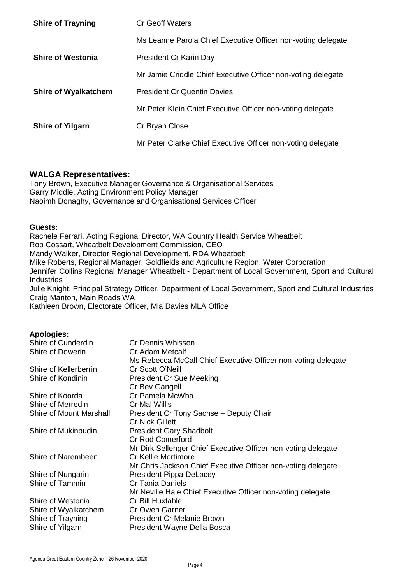| <b>Shire of Trayning</b>    | Cr Geoff Waters                                              |  |  |
|-----------------------------|--------------------------------------------------------------|--|--|
|                             | Ms Leanne Parola Chief Executive Officer non-voting delegate |  |  |
| <b>Shire of Westonia</b>    | President Cr Karin Day                                       |  |  |
|                             | Mr Jamie Criddle Chief Executive Officer non-voting delegate |  |  |
| <b>Shire of Wyalkatchem</b> | <b>President Cr Quentin Davies</b>                           |  |  |
|                             | Mr Peter Klein Chief Executive Officer non-voting delegate   |  |  |
| <b>Shire of Yilgarn</b>     | Cr Bryan Close                                               |  |  |
|                             | Mr Peter Clarke Chief Executive Officer non-voting delegate  |  |  |

#### **WALGA Representatives:**

Tony Brown, Executive Manager Governance & Organisational Services Garry Middle, Acting Environment Policy Manager Naoimh Donaghy, Governance and Organisational Services Officer

#### **Guests:**

Rachele Ferrari, Acting Regional Director, WA Country Health Service Wheatbelt Rob Cossart, Wheatbelt Development Commission, CEO Mandy Walker, Director Regional Development, RDA Wheatbelt Mike Roberts, Regional Manager, Goldfields and Agriculture Region, Water Corporation Jennifer Collins Regional Manager Wheatbelt - Department of Local Government, Sport and Cultural Industries Julie Knight, Principal Strategy Officer, Department of Local Government, Sport and Cultural Industries Craig Manton, Main Roads WA

Kathleen Brown, Electorate Officer, Mia Davies MLA Office

#### **Apologies:**

| Shire of Cunderdin             | Cr Dennis Whisson                                             |
|--------------------------------|---------------------------------------------------------------|
| Shire of Dowerin               | Cr Adam Metcalf                                               |
|                                | Ms Rebecca McCall Chief Executive Officer non-voting delegate |
| Shire of Kellerberrin          | Cr Scott O'Neill                                              |
| Shire of Kondinin              | <b>President Cr Sue Meeking</b>                               |
|                                | Cr Bev Gangell                                                |
| Shire of Koorda                | Cr Pamela McWha                                               |
| Shire of Merredin              | Cr Mal Willis                                                 |
| <b>Shire of Mount Marshall</b> | President Cr Tony Sachse - Deputy Chair                       |
|                                | <b>Cr Nick Gillett</b>                                        |
| Shire of Mukinbudin            | <b>President Gary Shadbolt</b>                                |
|                                | <b>Cr Rod Comerford</b>                                       |
|                                | Mr Dirk Sellenger Chief Executive Officer non-voting delegate |
| Shire of Narembeen             | Cr Kellie Mortimore                                           |
|                                | Mr Chris Jackson Chief Executive Officer non-voting delegate  |
| Shire of Nungarin              | <b>President Pippa DeLacey</b>                                |
| Shire of Tammin                | Cr Tania Daniels                                              |
|                                | Mr Neville Hale Chief Executive Officer non-voting delegate   |
| Shire of Westonia              | Cr Bill Huxtable                                              |
| Shire of Wyalkatchem           | Cr Owen Garner                                                |
| Shire of Trayning              | <b>President Cr Melanie Brown</b>                             |
| Shire of Yilgarn               | President Wayne Della Bosca                                   |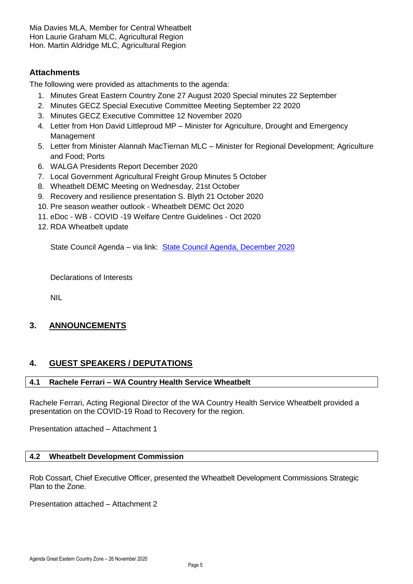Mia Davies MLA, Member for Central Wheatbelt Hon Laurie Graham MLC, Agricultural Region Hon. Martin Aldridge MLC, Agricultural Region

#### **Attachments**

The following were provided as attachments to the agenda:

- 1. Minutes Great Eastern Country Zone 27 August 2020 Special minutes 22 September
- 2. Minutes GECZ Special Executive Committee Meeting September 22 2020
- 3. Minutes GECZ Executive Committee 12 November 2020
- 4. Letter from Hon David Littleproud MP Minister for Agriculture, Drought and Emergency Management
- 5. Letter from Minister Alannah MacTiernan MLC Minister for Regional Development; Agriculture and Food; Ports
- 6. WALGA Presidents Report December 2020
- 7. Local Government Agricultural Freight Group Minutes 5 October
- 8. Wheatbelt DEMC Meeting on Wednesday, 21st October
- 9. Recovery and resilience presentation S. Blyth 21 October 2020
- 10. Pre season weather outlook Wheatbelt DEMC Oct 2020
- 11. eDoc WB COVID -19 Welfare Centre Guidelines Oct 2020
- 12. RDA Wheatbelt update

<span id="page-4-0"></span>State Council Agenda – via link: [State Council Agenda, December 2020](https://walga.asn.au/getattachment/dec003a5-2cca-4836-80a8-8868e06e4a08/Updated-Agenda-State-Council-2-December-2020.pdf)

Declarations of Interests

NIL

#### <span id="page-4-1"></span>**3. ANNOUNCEMENTS**

#### <span id="page-4-2"></span>**4. GUEST SPEAKERS / DEPUTATIONS**

#### <span id="page-4-3"></span>**4.1 Rachele Ferrari – WA Country Health Service Wheatbelt**

Rachele Ferrari, Acting Regional Director of the WA Country Health Service Wheatbelt provided a presentation on the COVID-19 Road to Recovery for the region.

Presentation attached – Attachment 1

#### <span id="page-4-4"></span>**4.2 Wheatbelt Development Commission**

Rob Cossart, Chief Executive Officer, presented the Wheatbelt Development Commissions Strategic Plan to the Zone.

Presentation attached – Attachment 2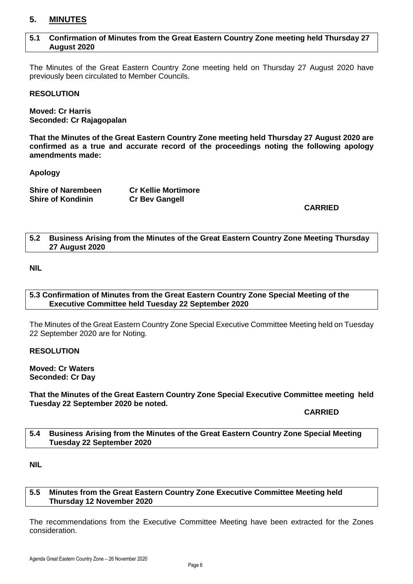#### <span id="page-5-0"></span>**5. MINUTES**

#### <span id="page-5-1"></span>**5.1 Confirmation of Minutes from the Great Eastern Country Zone meeting held Thursday 27 August 2020**

The Minutes of the Great Eastern Country Zone meeting held on Thursday 27 August 2020 have previously been circulated to Member Councils.

#### **RESOLUTION**

**Moved: Cr Harris Seconded: Cr Rajagopalan**

**That the Minutes of the Great Eastern Country Zone meeting held Thursday 27 August 2020 are confirmed as a true and accurate record of the proceedings noting the following apology amendments made:**

**Apology**

| <b>Shire of Narembeen</b> | <b>Cr Kellie Mortimore</b> |
|---------------------------|----------------------------|
| <b>Shire of Kondinin</b>  | <b>Cr Bev Gangell</b>      |

#### **CARRIED**

#### <span id="page-5-2"></span>**5.2 Business Arising from the Minutes of the Great Eastern Country Zone Meeting Thursday 27 August 2020**

**NIL**

#### <span id="page-5-3"></span>**5.3 Confirmation of Minutes from the Great Eastern Country Zone Special Meeting of the Executive Committee held Tuesday 22 September 2020**

The Minutes of the Great Eastern Country Zone Special Executive Committee Meeting held on Tuesday 22 September 2020 are for Noting.

#### **RESOLUTION**

**Moved: Cr Waters Seconded: Cr Day**

#### **That the Minutes of the Great Eastern Country Zone Special Executive Committee meeting held Tuesday 22 September 2020 be noted.**

#### **CARRIED**

#### <span id="page-5-4"></span>**5.4 Business Arising from the Minutes of the Great Eastern Country Zone Special Meeting Tuesday 22 September 2020**

**NIL**

#### <span id="page-5-5"></span>**5.5 Minutes from the Great Eastern Country Zone Executive Committee Meeting held Thursday 12 November 2020**

The recommendations from the Executive Committee Meeting have been extracted for the Zones consideration.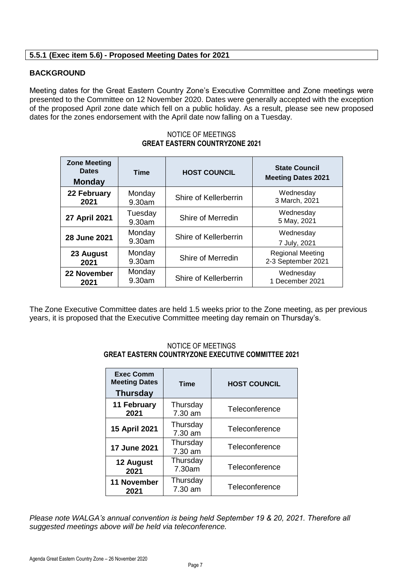#### **5.5.1 (Exec item 5.6) - Proposed Meeting Dates for 2021**

#### **BACKGROUND**

Meeting dates for the Great Eastern Country Zone's Executive Committee and Zone meetings were presented to the Committee on 12 November 2020. Dates were generally accepted with the exception of the proposed April zone date which fell on a public holiday. As a result, please see new proposed dates for the zones endorsement with the April date now falling on a Tuesday.

| <b>Zone Meeting</b><br><b>Dates</b><br><b>Monday</b> | Time              | <b>HOST COUNCIL</b>   | <b>State Council</b><br><b>Meeting Dates 2021</b> |
|------------------------------------------------------|-------------------|-----------------------|---------------------------------------------------|
| 22 February                                          | Monday            | Shire of Kellerberrin | Wednesday                                         |
| 2021                                                 | 9.30am            |                       | 3 March, 2021                                     |
| 27 April 2021                                        | Tuesday<br>9.30am | Shire of Merredin     | Wednesday<br>5 May, 2021                          |
| 28 June 2021                                         | Monday<br>9.30am  | Shire of Kellerberrin | Wednesday<br>7 July, 2021                         |
| 23 August                                            | Monday            | Shire of Merredin     | <b>Regional Meeting</b>                           |
| 2021                                                 | 9.30am            |                       | 2-3 September 2021                                |
| 22 November                                          | Monday            | Shire of Kellerberrin | Wednesday                                         |
| 2021                                                 | 9.30am            |                       | 1 December 2021                                   |

#### NOTICE OF MEETINGS **GREAT EASTERN COUNTRYZONE 2021**

The Zone Executive Committee dates are held 1.5 weeks prior to the Zone meeting, as per previous years, it is proposed that the Executive Committee meeting day remain on Thursday's.

#### **Exec Comm Meeting Dates Thursday Time HOST COUNCIL 11 February 2021 Thursday** 7.30 am **Teleconference 15 April 2021** Thursday 7.30 am **Teleconference 17 June 2021** Thursday 7.30 am **Teleconference 12 August 2021 Thursday** 7.30am Teleconference **11 November 2021 Thursday** 7.30 am Teleconference

#### NOTICE OF MEETINGS **GREAT EASTERN COUNTRYZONE EXECUTIVE COMMITTEE 2021**

*Please note WALGA's annual convention is being held September 19 & 20, 2021. Therefore all suggested meetings above will be held via teleconference.*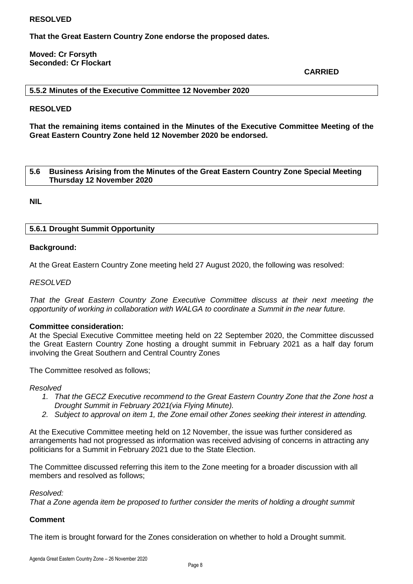#### **RESOLVED**

**That the Great Eastern Country Zone endorse the proposed dates.**

#### **Moved: Cr Forsyth Seconded: Cr Flockart**

**CARRIED**

#### **5.5.2 Minutes of the Executive Committee 12 November 2020**

#### **RESOLVED**

**That the remaining items contained in the Minutes of the Executive Committee Meeting of the Great Eastern Country Zone held 12 November 2020 be endorsed.**

#### <span id="page-7-0"></span>**5.6 Business Arising from the Minutes of the Great Eastern Country Zone Special Meeting Thursday 12 November 2020**

**NIL**

#### **5.6.1 Drought Summit Opportunity**

#### **Background:**

At the Great Eastern Country Zone meeting held 27 August 2020, the following was resolved:

#### *RESOLVED*

*That the Great Eastern Country Zone Executive Committee discuss at their next meeting the opportunity of working in collaboration with WALGA to coordinate a Summit in the near future.*

#### **Committee consideration:**

At the Special Executive Committee meeting held on 22 September 2020, the Committee discussed the Great Eastern Country Zone hosting a drought summit in February 2021 as a half day forum involving the Great Southern and Central Country Zones

The Committee resolved as follows;

#### *Resolved*

- *1. That the GECZ Executive recommend to the Great Eastern Country Zone that the Zone host a Drought Summit in February 2021(via Flying Minute).*
- *2. Subject to approval on item 1, the Zone email other Zones seeking their interest in attending.*

At the Executive Committee meeting held on 12 November, the issue was further considered as arrangements had not progressed as information was received advising of concerns in attracting any politicians for a Summit in February 2021 due to the State Election.

The Committee discussed referring this item to the Zone meeting for a broader discussion with all members and resolved as follows;

*Resolved:*

*That a Zone agenda item be proposed to further consider the merits of holding a drought summit*

#### **Comment**

The item is brought forward for the Zones consideration on whether to hold a Drought summit.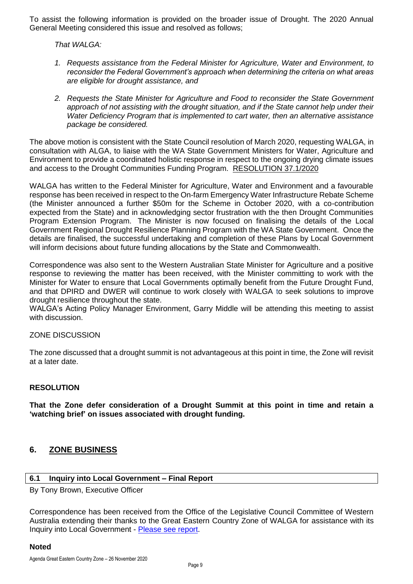To assist the following information is provided on the broader issue of Drought. The 2020 Annual General Meeting considered this issue and resolved as follows;

*That WALGA:*

- *1. Requests assistance from the Federal Minister for Agriculture, Water and Environment, to reconsider the Federal Government's approach when determining the criteria on what areas are eligible for drought assistance, and*
- *2. Requests the State Minister for Agriculture and Food to reconsider the State Government approach of not assisting with the drought situation, and if the State cannot help under their Water Deficiency Program that is implemented to cart water, then an alternative assistance package be considered.*

The above motion is consistent with the State Council resolution of March 2020, requesting WALGA, in consultation with ALGA, to liaise with the WA State Government Ministers for Water, Agriculture and Environment to provide a coordinated holistic response in respect to the ongoing drying climate issues and access to the Drought Communities Funding Program. RESOLUTION 37.1/2020

WALGA has written to the Federal Minister for Agriculture, Water and Environment and a favourable response has been received in respect to the On-farm Emergency Water Infrastructure Rebate Scheme (the Minister announced a further \$50m for the Scheme in October 2020, with a co-contribution expected from the State) and in acknowledging sector frustration with the then Drought Communities Program Extension Program. The Minister is now focused on finalising the details of the Local Government Regional Drought Resilience Planning Program with the WA State Government. Once the details are finalised, the successful undertaking and completion of these Plans by Local Government will inform decisions about future funding allocations by the State and Commonwealth.

Correspondence was also sent to the Western Australian State Minister for Agriculture and a positive response to reviewing the matter has been received, with the Minister committing to work with the Minister for Water to ensure that Local Governments optimally benefit from the Future Drought Fund, and that DPIRD and DWER will continue to work closely with WALGA to seek solutions to improve drought resilience throughout the state.

WALGA's Acting Policy Manager Environment, Garry Middle will be attending this meeting to assist with discussion.

#### ZONE DISCUSSION

The zone discussed that a drought summit is not advantageous at this point in time, the Zone will revisit at a later date.

#### **RESOLUTION**

**That the Zone defer consideration of a Drought Summit at this point in time and retain a 'watching brief' on issues associated with drought funding.**

#### <span id="page-8-0"></span>**6. ZONE BUSINESS**

#### <span id="page-8-1"></span>**6.1 Inquiry into Local Government – Final Report**

By Tony Brown, Executive Officer

Correspondence has been received from the Office of the Legislative Council Committee of Western Australia extending their thanks to the Great Eastern Country Zone of WALGA for assistance with its Inquiry into Local Government - [Please see report.](https://www.parliament.wa.gov.au/Parliament/commit.nsf/(Report+Lookup+by+Com+ID)/D0945E0944747068482585EA001F7481/$file/lo.lgi.200922.rpf.001.xx.002.002.pdf)

#### **Noted**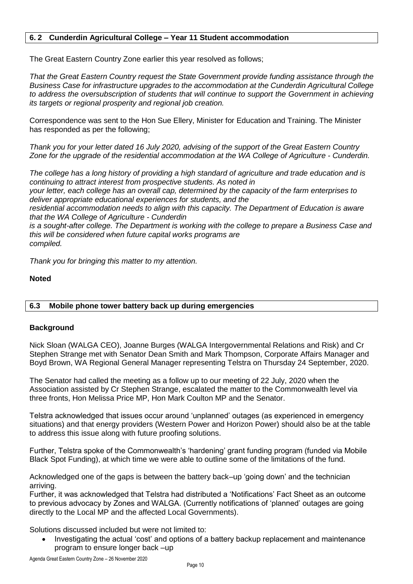#### <span id="page-9-0"></span>**6. 2 Cunderdin Agricultural College – Year 11 Student accommodation**

The Great Eastern Country Zone earlier this year resolved as follows;

*That the Great Eastern Country request the State Government provide funding assistance through the Business Case for infrastructure upgrades to the accommodation at the Cunderdin Agricultural College to address the oversubscription of students that will continue to support the Government in achieving its targets or regional prosperity and regional job creation.* 

Correspondence was sent to the Hon Sue Ellery, Minister for Education and Training. The Minister has responded as per the following;

*Thank you for your letter dated 16 July 2020, advising of the support of the Great Eastern Country Zone for the upgrade of the residential accommodation at the WA College of Agriculture - Cunderdin.*

*The college has a long history of providing a high standard of agriculture and trade education and is continuing to attract interest from prospective students. As noted in*

*your letter, each college has an overall cap, determined by the capacity of the farm enterprises to deliver appropriate educational experiences for students, and the*

*residential accommodation needs to align with this capacity. The Department of Education is aware that the WA College of Agriculture - Cunderdin*

*is a sought-after college. The Department is working with the college to prepare a Business Case and this will be considered when future capital works programs are compiled.*

*Thank you for bringing this matter to my attention.*

#### **Noted**

#### <span id="page-9-1"></span>**6.3 Mobile phone tower battery back up during emergencies**

#### **Background**

Nick Sloan (WALGA CEO), Joanne Burges (WALGA Intergovernmental Relations and Risk) and Cr Stephen Strange met with Senator Dean Smith and Mark Thompson, Corporate Affairs Manager and Boyd Brown, WA Regional General Manager representing Telstra on Thursday 24 September, 2020.

The Senator had called the meeting as a follow up to our meeting of 22 July, 2020 when the Association assisted by Cr Stephen Strange, escalated the matter to the Commonwealth level via three fronts, Hon Melissa Price MP, Hon Mark Coulton MP and the Senator.

Telstra acknowledged that issues occur around 'unplanned' outages (as experienced in emergency situations) and that energy providers (Western Power and Horizon Power) should also be at the table to address this issue along with future proofing solutions.

Further, Telstra spoke of the Commonwealth's 'hardening' grant funding program (funded via Mobile Black Spot Funding), at which time we were able to outline some of the limitations of the fund.

Acknowledged one of the gaps is between the battery back–up 'going down' and the technician arriving.

Further, it was acknowledged that Telstra had distributed a 'Notifications' Fact Sheet as an outcome to previous advocacy by Zones and WALGA. (Currently notifications of 'planned' outages are going directly to the Local MP and the affected Local Governments).

Solutions discussed included but were not limited to:

 Investigating the actual 'cost' and options of a battery backup replacement and maintenance program to ensure longer back –up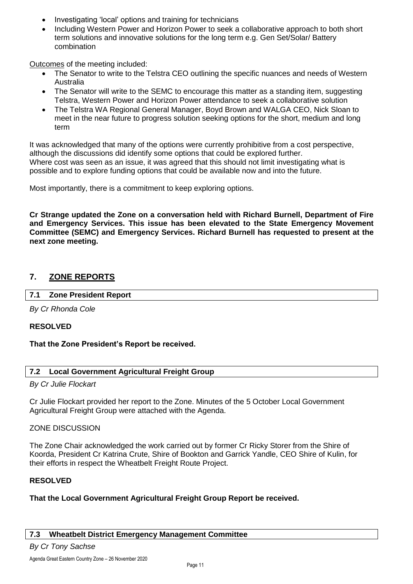- Investigating 'local' options and training for technicians
- Including Western Power and Horizon Power to seek a collaborative approach to both short term solutions and innovative solutions for the long term e.g. Gen Set/Solar/ Battery combination

Outcomes of the meeting included:

- The Senator to write to the Telstra CEO outlining the specific nuances and needs of Western Australia
- The Senator will write to the SEMC to encourage this matter as a standing item, suggesting Telstra, Western Power and Horizon Power attendance to seek a collaborative solution
- The Telstra WA Regional General Manager, Boyd Brown and WALGA CEO, Nick Sloan to meet in the near future to progress solution seeking options for the short, medium and long term

It was acknowledged that many of the options were currently prohibitive from a cost perspective, although the discussions did identify some options that could be explored further. Where cost was seen as an issue, it was agreed that this should not limit investigating what is possible and to explore funding options that could be available now and into the future.

Most importantly, there is a commitment to keep exploring options.

**Cr Strange updated the Zone on a conversation held with Richard Burnell, Department of Fire and Emergency Services. This issue has been elevated to the State Emergency Movement Committee (SEMC) and Emergency Services. Richard Burnell has requested to present at the next zone meeting.** 

#### <span id="page-10-1"></span><span id="page-10-0"></span>**7. ZONE REPORTS**

#### **7.1 Zone President Report**

*By Cr Rhonda Cole*

#### **RESOLVED**

#### **That the Zone President's Report be received.**

#### <span id="page-10-2"></span>**7.2 Local Government Agricultural Freight Group**

#### *By Cr Julie Flockart*

Cr Julie Flockart provided her report to the Zone. Minutes of the 5 October Local Government Agricultural Freight Group were attached with the Agenda.

#### ZONE DISCUSSION

The Zone Chair acknowledged the work carried out by former Cr Ricky Storer from the Shire of Koorda, President Cr Katrina Crute, Shire of Bookton and Garrick Yandle, CEO Shire of Kulin, for their efforts in respect the Wheatbelt Freight Route Project.

#### **RESOLVED**

#### **That the Local Government Agricultural Freight Group Report be received.**

#### <span id="page-10-3"></span>**7.3 Wheatbelt District Emergency Management Committee**

#### *By Cr Tony Sachse*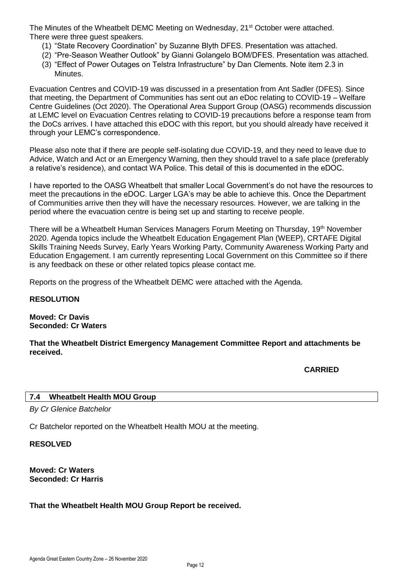The Minutes of the Wheatbelt DEMC Meeting on Wednesday, 21<sup>st</sup> October were attached. There were three quest speakers.

- (1) "State Recovery Coordination" by Suzanne Blyth DFES. Presentation was attached.
- (2) "Pre-Season Weather Outlook" by Gianni Golangelo BOM/DFES. Presentation was attached.
- (3) "Effect of Power Outages on Telstra Infrastructure" by Dan Clements. Note item 2.3 in **Minutes**

Evacuation Centres and COVID-19 was discussed in a presentation from Ant Sadler (DFES). Since that meeting, the Department of Communities has sent out an eDoc relating to COVID-19 – Welfare Centre Guidelines (Oct 2020). The Operational Area Support Group (OASG) recommends discussion at LEMC level on Evacuation Centres relating to COVID-19 precautions before a response team from the DoCs arrives. I have attached this eDOC with this report, but you should already have received it through your LEMC's correspondence.

Please also note that if there are people self-isolating due COVID-19, and they need to leave due to Advice, Watch and Act or an Emergency Warning, then they should travel to a safe place (preferably a relative's residence), and contact WA Police. This detail of this is documented in the eDOC.

I have reported to the OASG Wheatbelt that smaller Local Government's do not have the resources to meet the precautions in the eDOC. Larger LGA's may be able to achieve this. Once the Department of Communities arrive then they will have the necessary resources. However, we are talking in the period where the evacuation centre is being set up and starting to receive people.

There will be a Wheatbelt Human Services Managers Forum Meeting on Thursday, 19th November 2020. Agenda topics include the Wheatbelt Education Engagement Plan (WEEP), CRTAFE Digital Skills Training Needs Survey, Early Years Working Party, Community Awareness Working Party and Education Engagement. I am currently representing Local Government on this Committee so if there is any feedback on these or other related topics please contact me.

Reports on the progress of the Wheatbelt DEMC were attached with the Agenda.

#### **RESOLUTION**

**Moved: Cr Davis Seconded: Cr Waters**

**That the Wheatbelt District Emergency Management Committee Report and attachments be received.**

**CARRIED**

#### <span id="page-11-0"></span>**7.4 Wheatbelt Health MOU Group**

*By Cr Glenice Batchelor*

Cr Batchelor reported on the Wheatbelt Health MOU at the meeting.

#### **RESOLVED**

**Moved: Cr Waters Seconded: Cr Harris**

#### **That the Wheatbelt Health MOU Group Report be received.**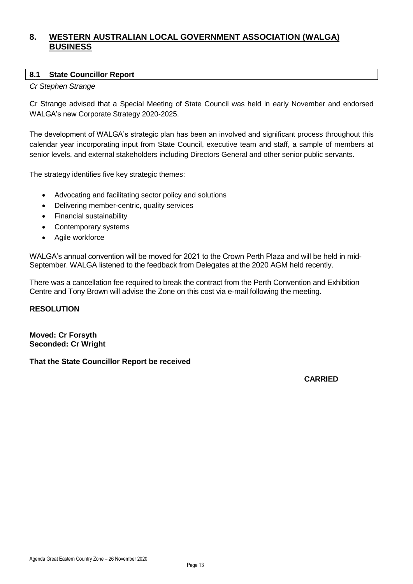#### <span id="page-12-0"></span>**8. WESTERN AUSTRALIAN LOCAL GOVERNMENT ASSOCIATION (WALGA) BUSINESS**

#### <span id="page-12-1"></span>**8.1 State Councillor Report**

#### *Cr Stephen Strange*

Cr Strange advised that a Special Meeting of State Council was held in early November and endorsed WALGA's new Corporate Strategy 2020-2025.

The development of WALGA's strategic plan has been an involved and significant process throughout this calendar year incorporating input from State Council, executive team and staff, a sample of members at senior levels, and external stakeholders including Directors General and other senior public servants.

The strategy identifies five key strategic themes:

- Advocating and facilitating sector policy and solutions
- Delivering member-centric, quality services
- Financial sustainability
- Contemporary systems
- Agile workforce

WALGA's annual convention will be moved for 2021 to the Crown Perth Plaza and will be held in mid-September. WALGA listened to the feedback from Delegates at the 2020 AGM held recently.

There was a cancellation fee required to break the contract from the Perth Convention and Exhibition Centre and Tony Brown will advise the Zone on this cost via e-mail following the meeting.

#### **RESOLUTION**

**Moved: Cr Forsyth Seconded: Cr Wright**

#### **That the State Councillor Report be received**

**CARRIED**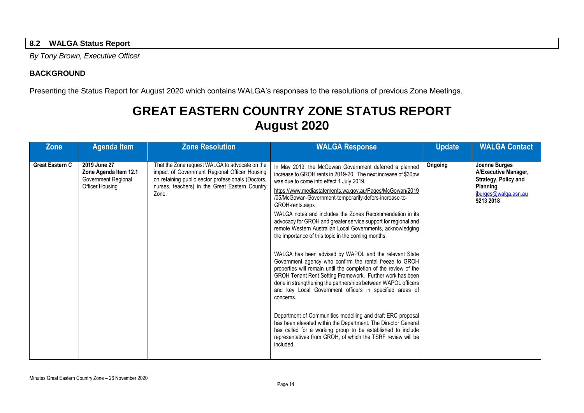#### **8.2 WALGA Status Report**

*By Tony Brown, Executive Officer*

#### **BACKGROUND**

Presenting the Status Report for August 2020 which contains WALGA's responses to the resolutions of previous Zone Meetings.

### **GREAT EASTERN COUNTRY ZONE STATUS REPORT August 2020**

<span id="page-13-0"></span>

| <b>Zone</b>            | <b>Agenda Item</b>                                                                     | <b>Zone Resolution</b>                                                                                                                                                                                           | <b>WALGA Response</b>                                                                                                                                                                                                                                                                                                                                                                                                                                                                                                                                                                                                                                                                                                                                                                                                                                                                                                                                                                                                                                                                                                                                                                                                                    | <b>Update</b> | <b>WALGA Contact</b>                                                                                                         |
|------------------------|----------------------------------------------------------------------------------------|------------------------------------------------------------------------------------------------------------------------------------------------------------------------------------------------------------------|------------------------------------------------------------------------------------------------------------------------------------------------------------------------------------------------------------------------------------------------------------------------------------------------------------------------------------------------------------------------------------------------------------------------------------------------------------------------------------------------------------------------------------------------------------------------------------------------------------------------------------------------------------------------------------------------------------------------------------------------------------------------------------------------------------------------------------------------------------------------------------------------------------------------------------------------------------------------------------------------------------------------------------------------------------------------------------------------------------------------------------------------------------------------------------------------------------------------------------------|---------------|------------------------------------------------------------------------------------------------------------------------------|
| <b>Great Eastern C</b> | 2019 June 27<br>Zone Agenda Item 12.1<br>Government Regional<br><b>Officer Housing</b> | That the Zone request WALGA to advocate on the<br>impact of Government Regional Officer Housing<br>on retaining public sector professionals (Doctors,<br>nurses, teachers) in the Great Eastern Country<br>Zone. | In May 2019, the McGowan Government deferred a planned<br>increase to GROH rents in 2019-20. The next increase of \$30pw<br>was due to come into effect 1 July 2019.<br>https://www.mediastatements.wa.gov.au/Pages/McGowan/2019<br>/05/McGowan-Government-temporarily-defers-increase-to-<br>GROH-rents.aspx<br>WALGA notes and includes the Zones Recommendation in its<br>advocacy for GROH and greater service support for regional and<br>remote Western Australian Local Governments, acknowledging<br>the importance of this topic in the coming months.<br>WALGA has been advised by WAPOL and the relevant State<br>Government agency who confirm the rental freeze to GROH<br>properties will remain until the completion of the review of the<br>GROH Tenant Rent Setting Framework. Further work has been<br>done in strengthening the partnerships between WAPOL officers<br>and key Local Government officers in specified areas of<br>concerns.<br>Department of Communities modelling and draft ERC proposal<br>has been elevated within the Department. The Director General<br>has called for a working group to be established to include<br>representatives from GROH, of which the TSRF review will be<br>included. | Ongoing       | <b>Joanne Burges</b><br>A/Executive Manager,<br><b>Strategy, Policy and</b><br>Planning<br>jburges@walga.asn.au<br>9213 2018 |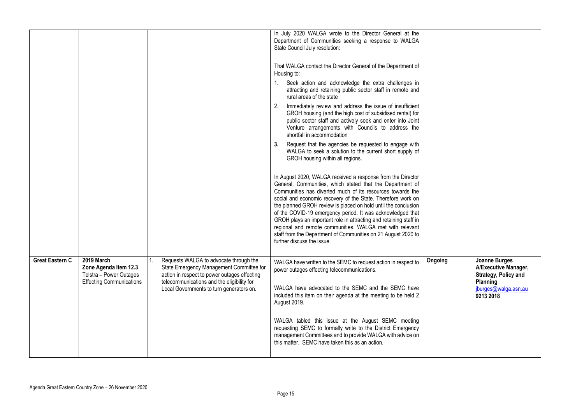|                        |                                                                                                   |                                                                                                                                                                                  | In July 2020 WALGA wrote to the Director General at the<br>Department of Communities seeking a response to WALGA<br>State Council July resolution:                                                                                                                                                                                                                                                                                                                                                                                                                                                                     |         |                                                                           |
|------------------------|---------------------------------------------------------------------------------------------------|----------------------------------------------------------------------------------------------------------------------------------------------------------------------------------|------------------------------------------------------------------------------------------------------------------------------------------------------------------------------------------------------------------------------------------------------------------------------------------------------------------------------------------------------------------------------------------------------------------------------------------------------------------------------------------------------------------------------------------------------------------------------------------------------------------------|---------|---------------------------------------------------------------------------|
|                        |                                                                                                   |                                                                                                                                                                                  | That WALGA contact the Director General of the Department of<br>Housing to:                                                                                                                                                                                                                                                                                                                                                                                                                                                                                                                                            |         |                                                                           |
|                        |                                                                                                   |                                                                                                                                                                                  | Seek action and acknowledge the extra challenges in<br>1.<br>attracting and retaining public sector staff in remote and<br>rural areas of the state                                                                                                                                                                                                                                                                                                                                                                                                                                                                    |         |                                                                           |
|                        |                                                                                                   |                                                                                                                                                                                  | 2. Immediately review and address the issue of insufficient<br>GROH housing (and the high cost of subsidised rental) for<br>public sector staff and actively seek and enter into Joint<br>Venture arrangements with Councils to address the<br>shortfall in accommodation                                                                                                                                                                                                                                                                                                                                              |         |                                                                           |
|                        |                                                                                                   |                                                                                                                                                                                  | Request that the agencies be requested to engage with<br>3.<br>WALGA to seek a solution to the current short supply of<br>GROH housing within all regions.                                                                                                                                                                                                                                                                                                                                                                                                                                                             |         |                                                                           |
|                        |                                                                                                   |                                                                                                                                                                                  | In August 2020, WALGA received a response from the Director<br>General, Communities, which stated that the Department of<br>Communities has diverted much of its resources towards the<br>social and economic recovery of the State. Therefore work on<br>the planned GROH review is placed on hold until the conclusion<br>of the COVID-19 emergency period. It was acknowledged that<br>GROH plays an important role in attracting and retaining staff in<br>regional and remote communities. WALGA met with relevant<br>staff from the Department of Communities on 21 August 2020 to<br>further discuss the issue. |         |                                                                           |
| <b>Great Eastern C</b> | 2019 March<br>Zone Agenda Item 12.3<br>Telstra - Power Outages<br><b>Effecting Communications</b> | Requests WALGA to advocate through the<br>State Emergency Management Committee for<br>action in respect to power outages effecting<br>telecommunications and the eligibility for | WALGA have written to the SEMC to request action in respect to<br>power outages effecting telecommunications.                                                                                                                                                                                                                                                                                                                                                                                                                                                                                                          | Ongoing | Joanne Burges<br>A/Executive Manager,<br>Strategy, Policy and<br>Planning |
|                        |                                                                                                   | Local Governments to turn generators on.                                                                                                                                         | WALGA have advocated to the SEMC and the SEMC have<br>included this item on their agenda at the meeting to be held 2<br>August 2019.                                                                                                                                                                                                                                                                                                                                                                                                                                                                                   |         | jburges@walga.asn.au<br>9213 2018                                         |
|                        |                                                                                                   |                                                                                                                                                                                  | WALGA tabled this issue at the August SEMC meeting<br>requesting SEMC to formally write to the District Emergency<br>management Committees and to provide WALGA with advice on<br>this matter. SEMC have taken this as an action.                                                                                                                                                                                                                                                                                                                                                                                      |         |                                                                           |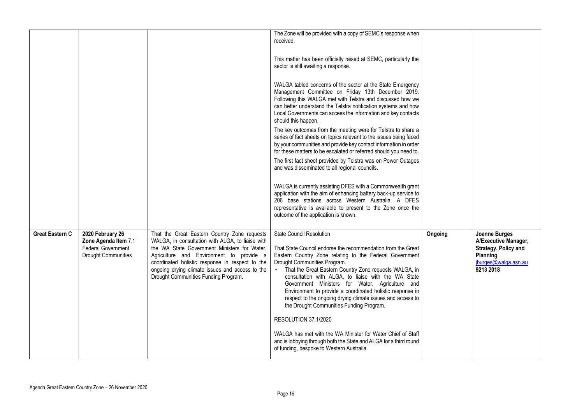|                 |                                                                                                     |                                                                                                                                                                                                                                                                                                                                            | The Zone will be provided with a copy of SEMC's response when<br>received.<br>This matter has been officially raised at SEMC, particularly the<br>sector is still awaiting a response.<br>WALGA tabled concerns of the sector at the State Emergency<br>Management Committee on Friday 13th December 2019.<br>Following this WALGA met with Telstra and discussed how we<br>can better understand the Telstra notification systems and how<br>Local Governments can access the information and key contacts<br>should this happen.<br>The key outcomes from the meeting were for Telstra to share a<br>series of fact sheets on topics relevant to the issues being faced<br>by your communities and provide key contact information in order<br>for these matters to be escalated or referred should you need to.<br>The first fact sheet provided by Telstra was on Power Outages<br>and was disseminated to all regional councils.<br>WALGA is currently assisting DFES with a Commonwealth grant<br>application with the aim of enhancing battery back-up service to<br>206 base stations across Western Australia. A DFES<br>representative is available to present to the Zone once the<br>outcome of the application is known. |         |                                                                                                                       |
|-----------------|-----------------------------------------------------------------------------------------------------|--------------------------------------------------------------------------------------------------------------------------------------------------------------------------------------------------------------------------------------------------------------------------------------------------------------------------------------------|---------------------------------------------------------------------------------------------------------------------------------------------------------------------------------------------------------------------------------------------------------------------------------------------------------------------------------------------------------------------------------------------------------------------------------------------------------------------------------------------------------------------------------------------------------------------------------------------------------------------------------------------------------------------------------------------------------------------------------------------------------------------------------------------------------------------------------------------------------------------------------------------------------------------------------------------------------------------------------------------------------------------------------------------------------------------------------------------------------------------------------------------------------------------------------------------------------------------------------------|---------|-----------------------------------------------------------------------------------------------------------------------|
| Great Eastern C | 2020 February 26<br>Zone Agenda Item 7.1<br><b>Federal Government</b><br><b>Drought Communities</b> | That the Great Eastern Country Zone requests<br>WALGA, in consultation with ALGA, to liaise with<br>the WA State Government Ministers for Water,<br>Agriculture and Environment to provide a<br>coordinated holistic response in respect to the<br>ongoing drying climate issues and access to the<br>Drought Communities Funding Program. | <b>State Council Resolution</b><br>That State Council endorse the recommendation from the Great<br>Eastern Country Zone relating to the Federal Government<br>Drought Communities Program.<br>• That the Great Eastern Country Zone requests WALGA, in<br>consultation with ALGA, to liaise with the WA State<br>Government Ministers for Water, Agriculture and<br>Environment to provide a coordinated holistic response in<br>respect to the ongoing drying climate issues and access to<br>the Drought Communities Funding Program.<br>RESOLUTION 37.1/2020<br>WALGA has met with the WA Minister for Water Chief of Staff<br>and is lobbying through both the State and ALGA for a third round<br>of funding, bespoke to Western Australia.                                                                                                                                                                                                                                                                                                                                                                                                                                                                                      | Ongoing | <b>Joanne Burges</b><br>A/Executive Manager,<br>Strategy, Policy and<br>Planning<br>jburges@walga.asn.au<br>9213 2018 |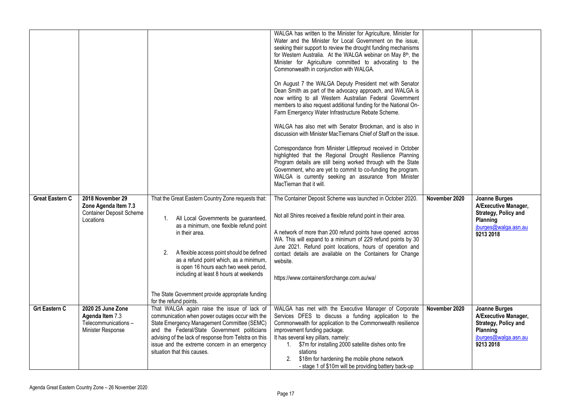| <b>Great Eastern C</b> | 2018 November 29<br>Zone Agenda Item 7.3<br><b>Container Deposit Scheme</b><br>Locations | That the Great Eastern Country Zone requests that:<br>All Local Governments be guaranteed,<br>1.<br>as a minimum, one flexible refund point<br>in their area.<br>A flexible access point should be defined<br>2.<br>as a refund point which, as a minimum,                                                                             | WALGA has written to the Minister for Agriculture, Minister for<br>Water and the Minister for Local Government on the issue,<br>seeking their support to review the drought funding mechanisms<br>for Western Australia. At the WALGA webinar on May 8 <sup>th</sup> , the<br>Minister for Agriculture committed to advocating to the<br>Commonwealth in conjunction with WALGA.<br>On August 7 the WALGA Deputy President met with Senator<br>Dean Smith as part of the advocacy approach, and WALGA is<br>now writing to all Western Australian Federal Government<br>members to also request additional funding for the National On-<br>Farm Emergency Water Infrastructure Rebate Scheme.<br>WALGA has also met with Senator Brockman, and is also in<br>discussion with Minister MacTiernans Chief of Staff on the issue.<br>Correspondance from Minister Littleproud received in October<br>highlighted that the Regional Drought Resilience Planning<br>Program details are still being worked through with the State<br>Government, who are yet to commit to co-funding the program.<br>WALGA is currently seeking an assurance from Minister<br>MacTiernan that it will.<br>The Container Deposit Scheme was launched in October 2020.<br>Not all Shires received a flexible refund point in their area.<br>A network of more than 200 refund points have opened across<br>WA. This will expand to a minimum of 229 refund points by 30<br>June 2021. Refund point locations, hours of operation and<br>contact details are available on the Containers for Change | November 2020 | Joanne Burges<br>A/Executive Manager,<br>Strategy, Policy and<br>Planning<br>iburges@walga.asn.au<br>9213 2018 |
|------------------------|------------------------------------------------------------------------------------------|----------------------------------------------------------------------------------------------------------------------------------------------------------------------------------------------------------------------------------------------------------------------------------------------------------------------------------------|-----------------------------------------------------------------------------------------------------------------------------------------------------------------------------------------------------------------------------------------------------------------------------------------------------------------------------------------------------------------------------------------------------------------------------------------------------------------------------------------------------------------------------------------------------------------------------------------------------------------------------------------------------------------------------------------------------------------------------------------------------------------------------------------------------------------------------------------------------------------------------------------------------------------------------------------------------------------------------------------------------------------------------------------------------------------------------------------------------------------------------------------------------------------------------------------------------------------------------------------------------------------------------------------------------------------------------------------------------------------------------------------------------------------------------------------------------------------------------------------------------------------------------------------------------------------------------|---------------|----------------------------------------------------------------------------------------------------------------|
|                        |                                                                                          | is open 16 hours each two week period,<br>including at least 8 hours at weekends<br>The State Government provide appropriate funding<br>for the refund points.                                                                                                                                                                         | website.<br>https://www.containersforchange.com.au/wa/                                                                                                                                                                                                                                                                                                                                                                                                                                                                                                                                                                                                                                                                                                                                                                                                                                                                                                                                                                                                                                                                                                                                                                                                                                                                                                                                                                                                                                                                                                                      |               |                                                                                                                |
| <b>Grt Eastern C</b>   | 2020 25 June Zone<br>Agenda Item 7.3<br>Telecommunications-<br>Minister Response         | That WALGA again raise the issue of lack of<br>communication when power outages occur with the<br>State Emergency Management Committee (SEMC)<br>and the Federal/State Government politicians<br>advising of the lack of response from Telstra on this<br>issue and the extreme concern in an emergency<br>situation that this causes. | WALGA has met with the Executive Manager of Corporate<br>Services DFES to discuss a funding application to the<br>Commonwealth for application to the Commonwealth resilience<br>improvement funding package.<br>It has several key pillars, namely:<br>1. \$7m for installing 2000 satellite dishes onto fire<br>stations<br>2. \$18m for hardening the mobile phone network<br>- stage 1 of \$10m will be providing battery back-up                                                                                                                                                                                                                                                                                                                                                                                                                                                                                                                                                                                                                                                                                                                                                                                                                                                                                                                                                                                                                                                                                                                                       | November 2020 | Joanne Burges<br>A/Executive Manager,<br>Strategy, Policy and<br>Planning<br>jburges@walga.asn.au<br>9213 2018 |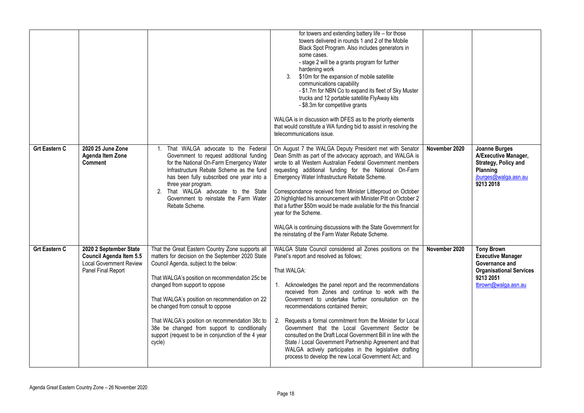|                      |                                                                                                           |                                                                                                                                                                                                                                                                                                                                                                                                                                                                                            | for towers and extending battery life - for those<br>towers delivered in rounds 1 and 2 of the Mobile<br>Black Spot Program. Also includes generators in<br>some cases.<br>- stage 2 will be a grants program for further<br>hardening work<br>\$10m for the expansion of mobile satellite<br>3.<br>communications capability<br>- \$1.7m for NBN Co to expand its fleet of Sky Muster<br>trucks and 12 portable satellite FlyAway kits<br>- \$8.3m for competitive grants<br>WALGA is in discussion with DFES as to the priority elements<br>that would constitute a WA funding bid to assist in resolving the<br>telecommunications issue.                                                      |               |                                                                                                                                       |
|----------------------|-----------------------------------------------------------------------------------------------------------|--------------------------------------------------------------------------------------------------------------------------------------------------------------------------------------------------------------------------------------------------------------------------------------------------------------------------------------------------------------------------------------------------------------------------------------------------------------------------------------------|---------------------------------------------------------------------------------------------------------------------------------------------------------------------------------------------------------------------------------------------------------------------------------------------------------------------------------------------------------------------------------------------------------------------------------------------------------------------------------------------------------------------------------------------------------------------------------------------------------------------------------------------------------------------------------------------------|---------------|---------------------------------------------------------------------------------------------------------------------------------------|
| <b>Grt Eastern C</b> | 2020 25 June Zone<br>Agenda Item Zone<br><b>Comment</b>                                                   | That WALGA advocate to the Federal<br>$1_{-}$<br>Government to request additional funding<br>for the National On-Farm Emergency Water<br>Infrastructure Rebate Scheme as the fund<br>has been fully subscribed one year into a<br>three year program.<br>2. That WALGA advocate to the State<br>Government to reinstate the Farm Water<br>Rebate Scheme.                                                                                                                                   | On August 7 the WALGA Deputy President met with Senator<br>Dean Smith as part of the advocacy approach, and WALGA is<br>wrote to all Western Australian Federal Government members<br>requesting additional funding for the National On-Farm<br>Emergency Water Infrastructure Rebate Scheme.<br>Correspondance received from Minister Littleproud on October<br>20 highlighted his announcement with Minister Pitt on October 2<br>that a further \$50m would be made available for the this financial<br>year for the Scheme.<br>WALGA is continuing discussions with the State Government for<br>the reinstating of the Farm Water Rebate Scheme.                                              | November 2020 | <b>Joanne Burges</b><br>A/Executive Manager,<br>Strategy, Policy and<br>Planning<br>jburges@walga.asn.au<br>9213 2018                 |
| <b>Grt Eastern C</b> | 2020 2 September State<br>Council Agenda Item 5.5<br><b>Local Government Review</b><br>Panel Final Report | That the Great Eastern Country Zone supports all<br>matters for decision on the September 2020 State<br>Council Agenda, subject to the below:<br>That WALGA's position on recommendation 25c be<br>changed from support to oppose<br>That WALGA's position on recommendation on 22<br>be changed from consult to oppose<br>That WALGA's position on recommendation 38c to<br>38e be changed from support to conditionally<br>support (request to be in conjunction of the 4 year<br>cycle) | WALGA State Council considered all Zones positions on the<br>Panel's report and resolved as follows;<br>That WALGA:<br>1. Acknowledges the panel report and the recommendations<br>received from Zones and continue to work with the<br>Government to undertake further consultation on the<br>recommendations contained therein;<br>2. Requests a formal commitment from the Minister for Local<br>Government that the Local Government Sector be<br>consulted on the Draft Local Government Bill in line with the<br>State / Local Government Partnership Agreement and that<br>WALGA actively participates in the legislative drafting<br>process to develop the new Local Government Act; and | November 2020 | <b>Tony Brown</b><br><b>Executive Manager</b><br>Governance and<br><b>Organisational Services</b><br>9213 2051<br>tbrown@walga.asn.au |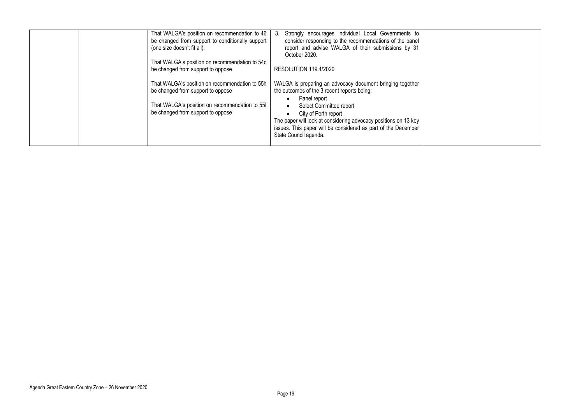| That WALGA's position on recommendation to 46<br>Strongly encourages individual Local Governments to<br>3.<br>be changed from support to conditionally support<br>consider responding to the recommendations of the panel<br>report and advise WALGA of their submissions by 31<br>(one size doesn't fit all).<br>October 2020.<br>That WALGA's position on recommendation to 54c<br>be changed from support to oppose<br>RESOLUTION 119.4/2020<br>That WALGA's position on recommendation to 55h<br>WALGA is preparing an advocacy document bringing together |  |
|----------------------------------------------------------------------------------------------------------------------------------------------------------------------------------------------------------------------------------------------------------------------------------------------------------------------------------------------------------------------------------------------------------------------------------------------------------------------------------------------------------------------------------------------------------------|--|
| be changed from support to oppose<br>the outcomes of the 3 recent reports being;<br>Panel report<br>That WALGA's position on recommendation to 551<br>Select Committee report<br>be changed from support to oppose<br>City of Perth report<br>The paper will look at considering advocacy positions on 13 key<br>issues. This paper will be considered as part of the December<br>State Council agenda.                                                                                                                                                        |  |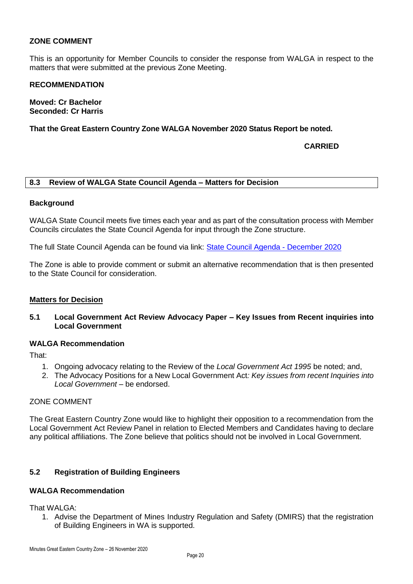#### **ZONE COMMENT**

This is an opportunity for Member Councils to consider the response from WALGA in respect to the matters that were submitted at the previous Zone Meeting.

#### **RECOMMENDATION**

**Moved: Cr Bachelor Seconded: Cr Harris**

**That the Great Eastern Country Zone WALGA November 2020 Status Report be noted.**

#### **CARRIED**

#### <span id="page-19-0"></span>**8.3 Review of WALGA State Council Agenda – Matters for Decision**

#### **Background**

WALGA State Council meets five times each year and as part of the consultation process with Member Councils circulates the State Council Agenda for input through the Zone structure.

The full State Council Agenda can be found via link: [State Council Agenda -](https://walga.asn.au/getattachment/dec003a5-2cca-4836-80a8-8868e06e4a08/Updated-Agenda-State-Council-2-December-2020.pdf) December 2020

The Zone is able to provide comment or submit an alternative recommendation that is then presented to the State Council for consideration.

#### **Matters for Decision**

**5.1 Local Government Act Review Advocacy Paper – Key Issues from Recent inquiries into Local Government**

#### **WALGA Recommendation**

That:

- 1. Ongoing advocacy relating to the Review of the *Local Government Act 1995* be noted; and,
- 2. The Advocacy Positions for a New Local Government Act*: Key issues from recent Inquiries into Local Government* – be endorsed.

#### ZONE COMMENT

The Great Eastern Country Zone would like to highlight their opposition to a recommendation from the Local Government Act Review Panel in relation to Elected Members and Candidates having to declare any political affiliations. The Zone believe that politics should not be involved in Local Government.

#### **5.2 Registration of Building Engineers**

#### **WALGA Recommendation**

That WAI GA:

1. Advise the Department of Mines Industry Regulation and Safety (DMIRS) that the registration of Building Engineers in WA is supported.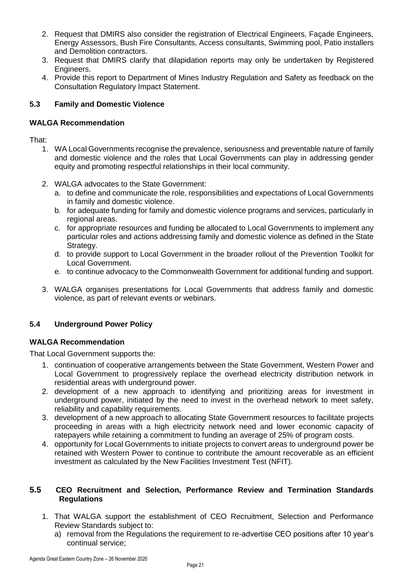- 2. Request that DMIRS also consider the registration of Electrical Engineers, Façade Engineers, Energy Assessors, Bush Fire Consultants, Access consultants, Swimming pool, Patio installers and Demolition contractors.
- 3. Request that DMIRS clarify that dilapidation reports may only be undertaken by Registered Engineers.
- 4. Provide this report to Department of Mines Industry Regulation and Safety as feedback on the Consultation Regulatory Impact Statement.

#### **5.3 Family and Domestic Violence**

#### **WALGA Recommendation**

That:

- 1. WA Local Governments recognise the prevalence, seriousness and preventable nature of family and domestic violence and the roles that Local Governments can play in addressing gender equity and promoting respectful relationships in their local community.
- 2. WALGA advocates to the State Government:
	- a. to define and communicate the role, responsibilities and expectations of Local Governments in family and domestic violence.
	- b. for adequate funding for family and domestic violence programs and services, particularly in regional areas.
	- c. for appropriate resources and funding be allocated to Local Governments to implement any particular roles and actions addressing family and domestic violence as defined in the State Strategy.
	- d. to provide support to Local Government in the broader rollout of the Prevention Toolkit for Local Government.
	- e. to continue advocacy to the Commonwealth Government for additional funding and support.
- 3. WALGA organises presentations for Local Governments that address family and domestic violence, as part of relevant events or webinars.

#### **5.4 Underground Power Policy**

#### **WALGA Recommendation**

That Local Government supports the:

- 1. continuation of cooperative arrangements between the State Government, Western Power and Local Government to progressively replace the overhead electricity distribution network in residential areas with underground power.
- 2. development of a new approach to identifying and prioritizing areas for investment in underground power, initiated by the need to invest in the overhead network to meet safety, reliability and capability requirements.
- 3. development of a new approach to allocating State Government resources to facilitate projects proceeding in areas with a high electricity network need and lower economic capacity of ratepayers while retaining a commitment to funding an average of 25% of program costs.
- 4. opportunity for Local Governments to initiate projects to convert areas to underground power be retained with Western Power to continue to contribute the amount recoverable as an efficient investment as calculated by the New Facilities Investment Test (NFIT).

#### **5.5 CEO Recruitment and Selection, Performance Review and Termination Standards Regulations**

- 1. That WALGA support the establishment of CEO Recruitment, Selection and Performance Review Standards subject to:
	- a) removal from the Regulations the requirement to re-advertise CEO positions after 10 year's continual service;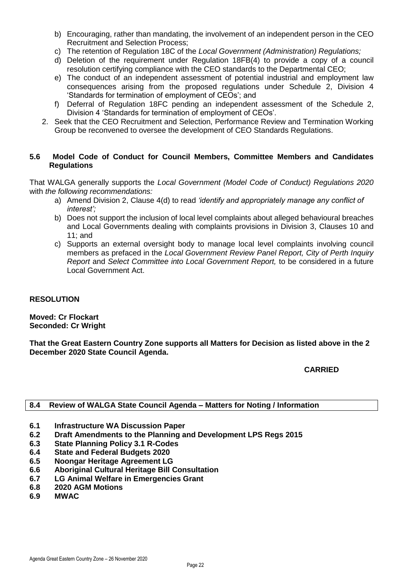- b) Encouraging, rather than mandating, the involvement of an independent person in the CEO Recruitment and Selection Process;
- c) The retention of Regulation 18C of the *Local Government (Administration) Regulations;*
- d) Deletion of the requirement under Regulation 18FB(4) to provide a copy of a council resolution certifying compliance with the CEO standards to the Departmental CEO;
- e) The conduct of an independent assessment of potential industrial and employment law consequences arising from the proposed regulations under Schedule 2, Division 4 'Standards for termination of employment of CEOs'; and
- f) Deferral of Regulation 18FC pending an independent assessment of the Schedule 2, Division 4 'Standards for termination of employment of CEOs'.
- 2. Seek that the CEO Recruitment and Selection, Performance Review and Termination Working Group be reconvened to oversee the development of CEO Standards Regulations.

#### **5.6 Model Code of Conduct for Council Members, Committee Members and Candidates Regulations**

That WALGA generally supports the *Local Government (Model Code of Conduct) Regulations 2020*  with *the following recommendations:* 

- a) Amend Division 2, Clause 4(d) to read *'identify and appropriately manage any conflict of interest';*
- b) Does not support the inclusion of local level complaints about alleged behavioural breaches and Local Governments dealing with complaints provisions in Division 3, Clauses 10 and 11; and
- c) Supports an external oversight body to manage local level complaints involving council members as prefaced in the *Local Government Review Panel Report, City of Perth Inquiry Report* and *Select Committee into Local Government Report,* to be considered in a future Local Government Act.

#### **RESOLUTION**

**Moved: Cr Flockart Seconded: Cr Wright**

**That the Great Eastern Country Zone supports all Matters for Decision as listed above in the 2 December 2020 State Council Agenda.**

**CARRIED**

#### <span id="page-21-0"></span>**8.4 Review of WALGA State Council Agenda – Matters for Noting / Information**

- **6.1 Infrastructure WA Discussion Paper**
- **6.2 Draft Amendments to the Planning and Development LPS Regs 2015**
- **6.3 State Planning Policy 3.1 R-Codes**
- **6.4 State and Federal Budgets 2020**
- **6.5 Noongar Heritage Agreement LG**
- **6.6 Aboriginal Cultural Heritage Bill Consultation**
- **6.7 LG Animal Welfare in Emergencies Grant**
- **6.8 2020 AGM Motions**
- **6.9 MWAC**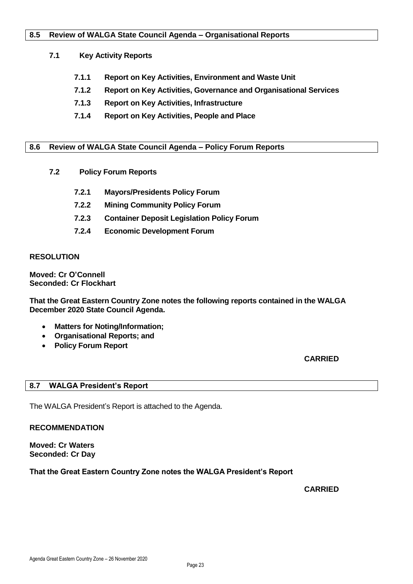#### <span id="page-22-0"></span>**8.5 Review of WALGA State Council Agenda – Organisational Reports**

#### **7.1 Key Activity Reports**

- **7.1.1 Report on Key Activities, Environment and Waste Unit**
- **7.1.2 Report on Key Activities, Governance and Organisational Services**
- **7.1.3 Report on Key Activities, Infrastructure**
- **7.1.4 Report on Key Activities, People and Place**

#### <span id="page-22-1"></span>**8.6 Review of WALGA State Council Agenda – Policy Forum Reports**

- **7.2 Policy Forum Reports**
	- **7.2.1 Mayors/Presidents Policy Forum**
	- **7.2.2 Mining Community Policy Forum**
	- **7.2.3 Container Deposit Legislation Policy Forum**
	- **7.2.4 Economic Development Forum**

#### **RESOLUTION**

**Moved: Cr O'Connell Seconded: Cr Flockhart**

**That the Great Eastern Country Zone notes the following reports contained in the WALGA December 2020 State Council Agenda.**

- **Matters for Noting/Information;**
- **Organisational Reports; and**
- **Policy Forum Report**

**CARRIED**

#### <span id="page-22-2"></span>**8.7 WALGA President's Report**

The WALGA President's Report is attached to the Agenda.

**RECOMMENDATION**

**Moved: Cr Waters Seconded: Cr Day**

#### **That the Great Eastern Country Zone notes the WALGA President's Report**

#### **CARRIED**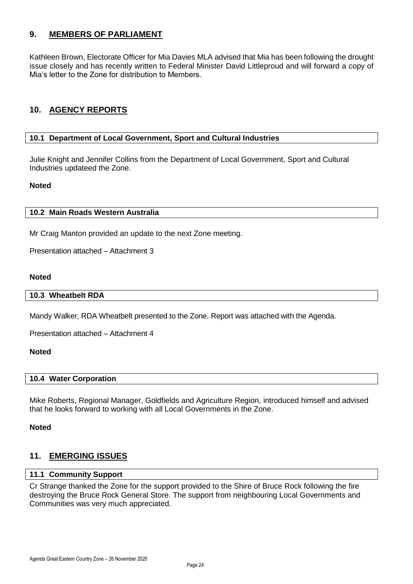#### <span id="page-23-0"></span>**9. MEMBERS OF PARLIAMENT**

Kathleen Brown, Electorate Officer for Mia Davies MLA advised that Mia has been following the drought issue closely and has recently written to Federal Minister David Littleproud and will forward a copy of Mia's letter to the Zone for distribution to Members.

#### <span id="page-23-1"></span>**10. AGENCY REPORTS**

#### <span id="page-23-2"></span>**10.1 Department of Local Government, Sport and Cultural Industries**

Julie Knight and Jennifer Collins from the Department of Local Government, Sport and Cultural Industries updateed the Zone.

#### **Noted**

#### <span id="page-23-3"></span>**10.2 Main Roads Western Australia**

Mr Craig Manton provided an update to the next Zone meeting.

Presentation attached – Attachment 3

#### <span id="page-23-4"></span>**Noted**

#### **10.3 Wheatbelt RDA**

Mandy Walker, RDA Wheatbelt presented to the Zone. Report was attached with the Agenda.

Presentation attached – Attachment 4

#### **Noted**

#### **10.4 Water Corporation**

Mike Roberts, Regional Manager, Goldfields and Agriculture Region, introduced himself and advised that he looks forward to working with all Local Governments in the Zone.

#### **Noted**

#### <span id="page-23-5"></span>**11. EMERGING ISSUES**

#### **11.1 Community Support**

Cr Strange thanked the Zone for the support provided to the Shire of Bruce Rock following the fire destroying the Bruce Rock General Store. The support from neighbouring Local Governments and Communities was very much appreciated.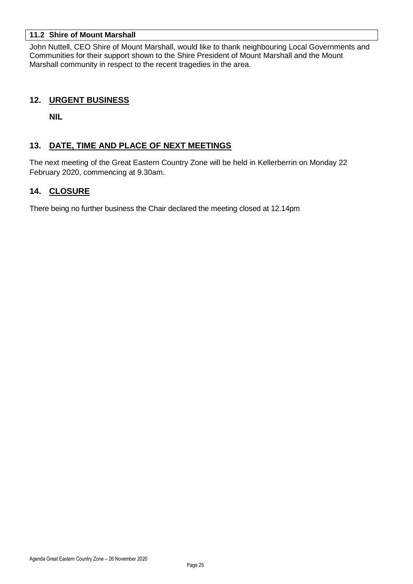#### **11.2 Shire of Mount Marshall**

John Nuttell, CEO Shire of Mount Marshall, would like to thank neighbouring Local Governments and Communities for their support shown to the Shire President of Mount Marshall and the Mount Marshall community in respect to the recent tragedies in the area.

#### <span id="page-24-0"></span>**12. URGENT BUSINESS**

**NIL**

#### <span id="page-24-1"></span>**13. DATE, TIME AND PLACE OF NEXT MEETINGS**

The next meeting of the Great Eastern Country Zone will be held in Kellerberrin on Monday 22 February 2020, commencing at 9.30am.

#### <span id="page-24-2"></span>**14. CLOSURE**

There being no further business the Chair declared the meeting closed at 12.14pm